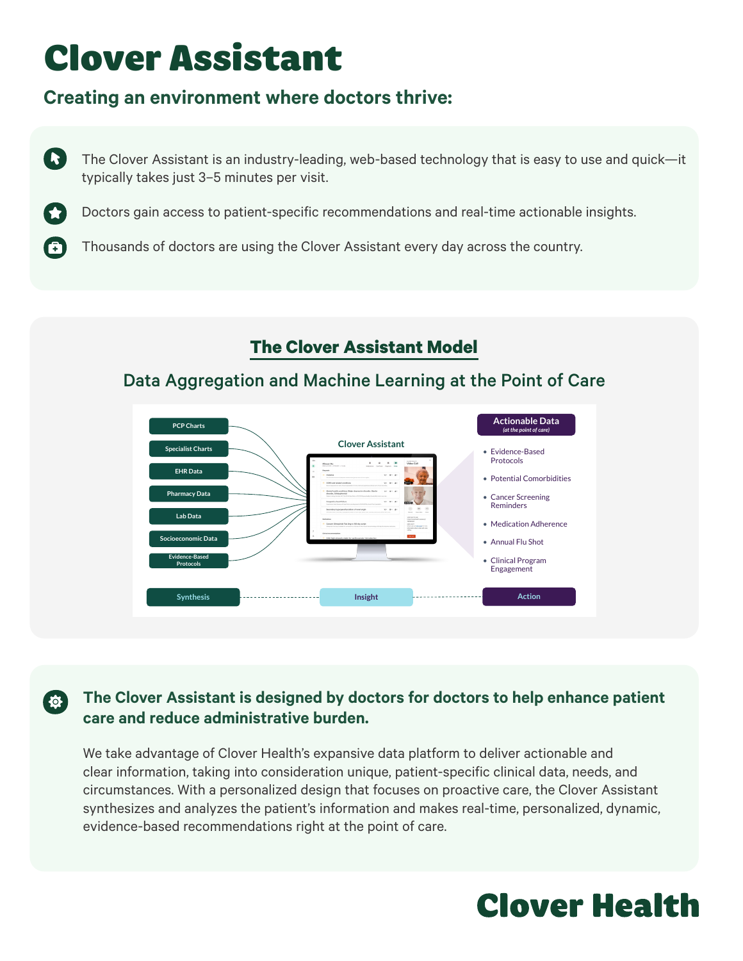# Clover Assistant

A

 $\sigma$ 

# **Creating an environment where doctors thrive:**

(R) The Clover Assistant is an industry-leading, web-based technology that is easy to use and quick—it typically takes just 3–5 minutes per visit.

Doctors gain access to patient-specific recommendations and real-time actionable insights.

Thousands of doctors are using the Clover Assistant every day across the country.

## **The Clover Assistant Model**

## Data Aggregation and Machine Learning at the Point of Care



### **The Clover Assistant is designed by doctors for doctors to help enhance patient care and reduce administrative burden.**

We take advantage of Clover Health's expansive data platform to deliver actionable and clear information, taking into consideration unique, patient-specific clinical data, needs, and circumstances. With a personalized design that focuses on proactive care, the Clover Assistant synthesizes and analyzes the patient's information and makes real-time, personalized, dynamic, evidence-based recommendations right at the point of care.